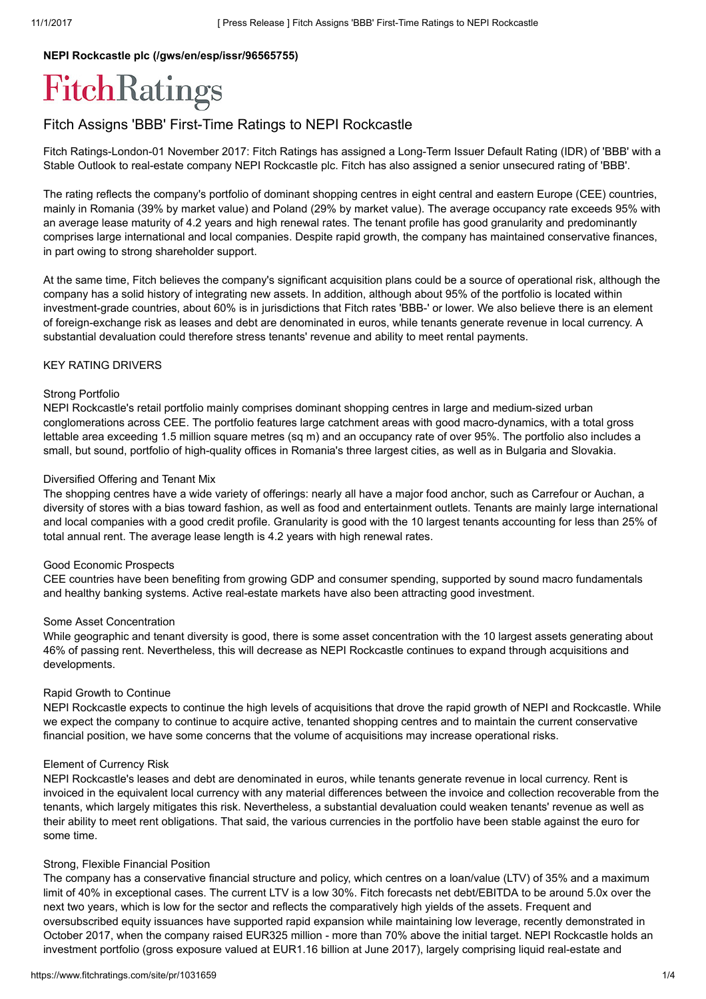## NEPI Rockcastle plc [\(/gws/en/esp/issr/96565755\)](https://www.fitchratings.com/gws/en/esp/issr/96565755)

# FitchRatings

## Fitch Assigns 'BBB' First-Time Ratings to NEPI Rockcastle

Fitch Ratings-London-01 November 2017: Fitch Ratings has assigned a Long-Term Issuer Default Rating (IDR) of 'BBB' with a Stable Outlook to real-estate company NEPI Rockcastle plc. Fitch has also assigned a senior unsecured rating of 'BBB'.

The rating reflects the company's portfolio of dominant shopping centres in eight central and eastern Europe (CEE) countries, mainly in Romania (39% by market value) and Poland (29% by market value). The average occupancy rate exceeds 95% with an average lease maturity of 4.2 years and high renewal rates. The tenant profile has good granularity and predominantly comprises large international and local companies. Despite rapid growth, the company has maintained conservative finances, in part owing to strong shareholder support.

At the same time, Fitch believes the company's significant acquisition plans could be a source of operational risk, although the company has a solid history of integrating new assets. In addition, although about 95% of the portfolio is located within investment-grade countries, about 60% is in jurisdictions that Fitch rates 'BBB-' or lower. We also believe there is an element of foreign-exchange risk as leases and debt are denominated in euros, while tenants generate revenue in local currency. A substantial devaluation could therefore stress tenants' revenue and ability to meet rental payments.

## KEY RATING DRIVERS

## Strong Portfolio

NEPI Rockcastle's retail portfolio mainly comprises dominant shopping centres in large and medium-sized urban conglomerations across CEE. The portfolio features large catchment areas with good macro-dynamics, with a total gross lettable area exceeding 1.5 million square metres (sq m) and an occupancy rate of over 95%. The portfolio also includes a small, but sound, portfolio of high-quality offices in Romania's three largest cities, as well as in Bulgaria and Slovakia.

## Diversified Offering and Tenant Mix

The shopping centres have a wide variety of offerings: nearly all have a major food anchor, such as Carrefour or Auchan, a diversity of stores with a bias toward fashion, as well as food and entertainment outlets. Tenants are mainly large international and local companies with a good credit profile. Granularity is good with the 10 largest tenants accounting for less than 25% of total annual rent. The average lease length is 4.2 years with high renewal rates.

## Good Economic Prospects

CEE countries have been benefiting from growing GDP and consumer spending, supported by sound macro fundamentals and healthy banking systems. Active real-estate markets have also been attracting good investment.

#### Some Asset Concentration

While geographic and tenant diversity is good, there is some asset concentration with the 10 largest assets generating about 46% of passing rent. Nevertheless, this will decrease as NEPI Rockcastle continues to expand through acquisitions and developments.

#### Rapid Growth to Continue

NEPI Rockcastle expects to continue the high levels of acquisitions that drove the rapid growth of NEPI and Rockcastle. While we expect the company to continue to acquire active, tenanted shopping centres and to maintain the current conservative financial position, we have some concerns that the volume of acquisitions may increase operational risks.

#### Element of Currency Risk

NEPI Rockcastle's leases and debt are denominated in euros, while tenants generate revenue in local currency. Rent is invoiced in the equivalent local currency with any material differences between the invoice and collection recoverable from the tenants, which largely mitigates this risk. Nevertheless, a substantial devaluation could weaken tenants' revenue as well as their ability to meet rent obligations. That said, the various currencies in the portfolio have been stable against the euro for some time.

#### Strong, Flexible Financial Position

The company has a conservative financial structure and policy, which centres on a loan/value (LTV) of 35% and a maximum limit of 40% in exceptional cases. The current LTV is a low 30%. Fitch forecasts net debt/EBITDA to be around 5.0x over the next two years, which is low for the sector and reflects the comparatively high yields of the assets. Frequent and oversubscribed equity issuances have supported rapid expansion while maintaining low leverage, recently demonstrated in October 2017, when the company raised EUR325 million - more than 70% above the initial target. NEPI Rockcastle holds an investment portfolio (gross exposure valued at EUR1.16 billion at June 2017), largely comprising liquid real-estate and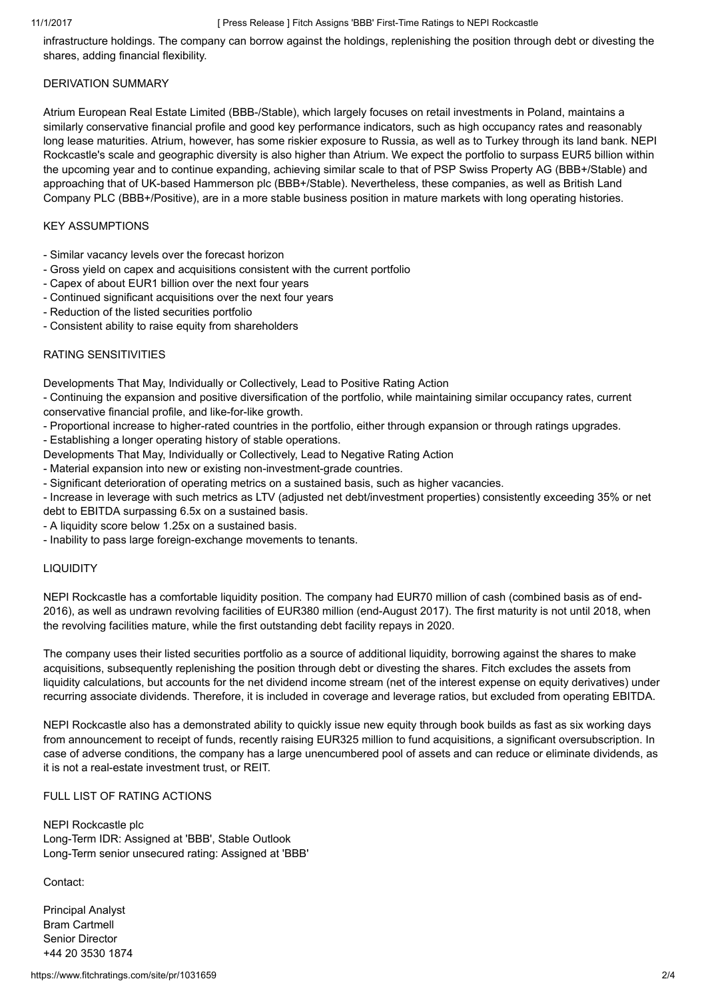#### 11/1/2017 [ Press Release ] Fitch Assigns 'BBB' First-Time Ratings to NEPI Rockcastle

infrastructure holdings. The company can borrow against the holdings, replenishing the position through debt or divesting the shares, adding financial flexibility.

## DERIVATION SUMMARY

Atrium European Real Estate Limited (BBB-/Stable), which largely focuses on retail investments in Poland, maintains a similarly conservative financial profile and good key performance indicators, such as high occupancy rates and reasonably long lease maturities. Atrium, however, has some riskier exposure to Russia, as well as to Turkey through its land bank. NEPI Rockcastle's scale and geographic diversity is also higher than Atrium. We expect the portfolio to surpass EUR5 billion within the upcoming year and to continue expanding, achieving similar scale to that of PSP Swiss Property AG (BBB+/Stable) and approaching that of UK-based Hammerson plc (BBB+/Stable). Nevertheless, these companies, as well as British Land Company PLC (BBB+/Positive), are in a more stable business position in mature markets with long operating histories.

#### KEY ASSUMPTIONS

- Similar vacancy levels over the forecast horizon
- Gross yield on capex and acquisitions consistent with the current portfolio
- Capex of about EUR1 billion over the next four years
- Continued significant acquisitions over the next four years
- Reduction of the listed securities portfolio
- Consistent ability to raise equity from shareholders

## RATING SENSITIVITIES

Developments That May, Individually or Collectively, Lead to Positive Rating Action

- Continuing the expansion and positive diversification of the portfolio, while maintaining similar occupancy rates, current conservative financial profile, and like-for-like growth.

- Proportional increase to higher-rated countries in the portfolio, either through expansion or through ratings upgrades.
- Establishing a longer operating history of stable operations.
- Developments That May, Individually or Collectively, Lead to Negative Rating Action
- Material expansion into new or existing non-investment-grade countries.
- Significant deterioration of operating metrics on a sustained basis, such as higher vacancies.

- Increase in leverage with such metrics as LTV (adjusted net debt/investment properties) consistently exceeding 35% or net debt to EBITDA surpassing 6.5x on a sustained basis.

- A liquidity score below 1.25x on a sustained basis.
- Inability to pass large foreign-exchange movements to tenants.

## LIQUIDITY

NEPI Rockcastle has a comfortable liquidity position. The company had EUR70 million of cash (combined basis as of end-2016), as well as undrawn revolving facilities of EUR380 million (end-August 2017). The first maturity is not until 2018, when the revolving facilities mature, while the first outstanding debt facility repays in 2020.

The company uses their listed securities portfolio as a source of additional liquidity, borrowing against the shares to make acquisitions, subsequently replenishing the position through debt or divesting the shares. Fitch excludes the assets from liquidity calculations, but accounts for the net dividend income stream (net of the interest expense on equity derivatives) under recurring associate dividends. Therefore, it is included in coverage and leverage ratios, but excluded from operating EBITDA.

NEPI Rockcastle also has a demonstrated ability to quickly issue new equity through book builds as fast as six working days from announcement to receipt of funds, recently raising EUR325 million to fund acquisitions, a significant oversubscription. In case of adverse conditions, the company has a large unencumbered pool of assets and can reduce or eliminate dividends, as it is not a real-estate investment trust, or REIT.

## FULL LIST OF RATING ACTIONS

NEPI Rockcastle plc Long-Term IDR: Assigned at 'BBB', Stable Outlook Long-Term senior unsecured rating: Assigned at 'BBB'

Contact:

Principal Analyst Bram Cartmell Senior Director +44 20 3530 1874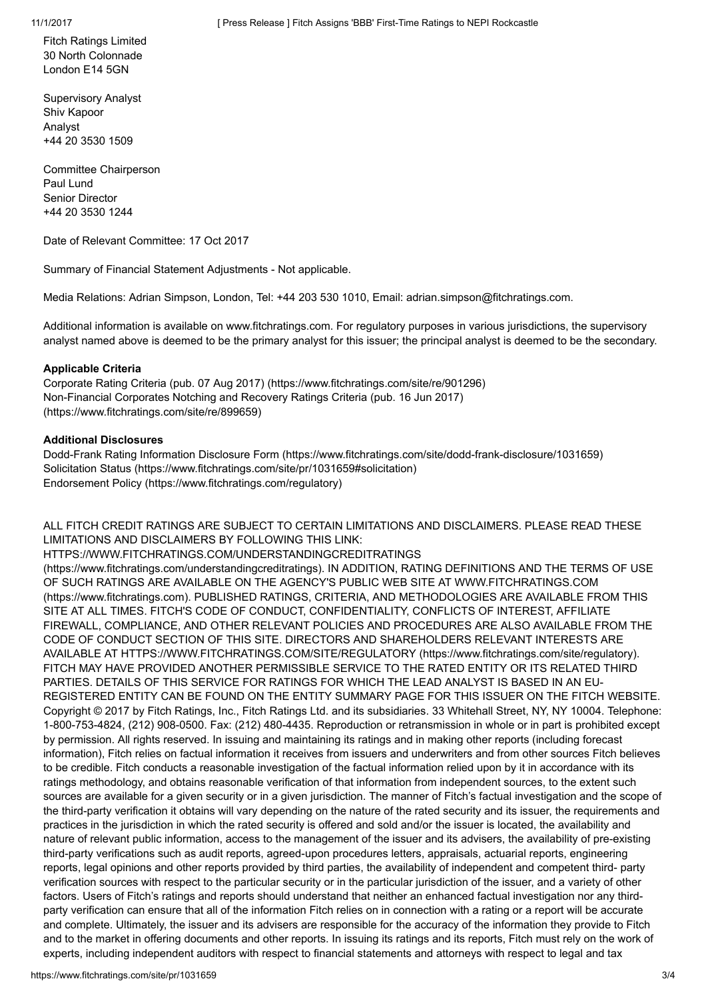Fitch Ratings Limited 30 North Colonnade London E14 5GN

Supervisory Analyst Shiv Kapoor Analyst +44 20 3530 1509

Committee Chairperson Paul Lund Senior Director +44 20 3530 1244

Date of Relevant Committee: 17 Oct 2017

Summary of Financial Statement Adjustments - Not applicable.

Media Relations: Adrian Simpson, London, Tel: +44 203 530 1010, Email: adrian.simpson@fitchratings.com.

Additional information is available on www.fitchratings.com. For regulatory purposes in various jurisdictions, the supervisory analyst named above is deemed to be the primary analyst for this issuer; the principal analyst is deemed to be the secondary.

## Applicable Criteria

Corporate Rating Criteria (pub. 07 Aug 2017) [\(https://www.fitchratings.com/site/re/901296\)](https://www.fitchratings.com/site/re/901296) Non-Financial Corporates Notching and Recovery Ratings Criteria (pub. 16 Jun 2017) [\(https://www.fitchratings.com/site/re/899659\)](https://www.fitchratings.com/site/re/899659)

## Additional Disclosures

Dodd-Frank Rating Information Disclosure Form [\(https://www.fitchratings.com/site/dodd-frank-disclosure/1031659\)](https://www.fitchratings.com/site/dodd-frank-disclosure/1031659) Solicitation Status [\(https://www.fitchratings.com/site/pr/1031659#solicitation\)](#page-3-0) Endorsement Policy [\(https://www.fitchratings.com/regulatory\)](https://www.fitchratings.com/regulatory)

ALL FITCH CREDIT RATINGS ARE SUBJECT TO CERTAIN LIMITATIONS AND DISCLAIMERS. PLEASE READ THESE LIMITATIONS AND DISCLAIMERS BY FOLLOWING THIS LINK: [HTTPS://WWW.FITCHRATINGS.COM/UNDERSTANDINGCREDITRATINGS](https://www.fitchratings.com/understandingcreditratings) (https://www.fitchratings.com/understandingcreditratings). IN ADDITION, RATING DEFINITIONS AND THE TERMS OF USE OF SUCH RATINGS ARE AVAILABLE ON THE AGENCY'S PUBLIC WEB SITE AT WWW.FITCHRATINGS.COM [\(https://www.fitchratings.com\).](https://www.fitchratings.com/) PUBLISHED RATINGS, CRITERIA, AND METHODOLOGIES ARE AVAILABLE FROM THIS SITE AT ALL TIMES. FITCH'S CODE OF CONDUCT, CONFIDENTIALITY, CONFLICTS OF INTEREST, AFFILIATE FIREWALL, COMPLIANCE, AND OTHER RELEVANT POLICIES AND PROCEDURES ARE ALSO AVAILABLE FROM THE CODE OF CONDUCT SECTION OF THIS SITE. DIRECTORS AND SHAREHOLDERS RELEVANT INTERESTS ARE AVAILABLE AT [HTTPS://WWW.FITCHRATINGS.COM/SITE/REGULATORY](https://www.fitchratings.com/site/regulatory) (https://www.fitchratings.com/site/regulatory). FITCH MAY HAVE PROVIDED ANOTHER PERMISSIBLE SERVICE TO THE RATED ENTITY OR ITS RELATED THIRD PARTIES. DETAILS OF THIS SERVICE FOR RATINGS FOR WHICH THE LEAD ANALYST IS BASED IN AN EU-REGISTERED ENTITY CAN BE FOUND ON THE ENTITY SUMMARY PAGE FOR THIS ISSUER ON THE FITCH WEBSITE. Copyright © 2017 by Fitch Ratings, Inc., Fitch Ratings Ltd. and its subsidiaries. 33 Whitehall Street, NY, NY 10004. Telephone: 1-800-753-4824, (212) 908-0500. Fax: (212) 480-4435. Reproduction or retransmission in whole or in part is prohibited except by permission. All rights reserved. In issuing and maintaining its ratings and in making other reports (including forecast information), Fitch relies on factual information it receives from issuers and underwriters and from other sources Fitch believes to be credible. Fitch conducts a reasonable investigation of the factual information relied upon by it in accordance with its ratings methodology, and obtains reasonable verification of that information from independent sources, to the extent such sources are available for a given security or in a given jurisdiction. The manner of Fitch's factual investigation and the scope of the third-party verification it obtains will vary depending on the nature of the rated security and its issuer, the requirements and practices in the jurisdiction in which the rated security is offered and sold and/or the issuer is located, the availability and nature of relevant public information, access to the management of the issuer and its advisers, the availability of pre-existing third-party verifications such as audit reports, agreed-upon procedures letters, appraisals, actuarial reports, engineering reports, legal opinions and other reports provided by third parties, the availability of independent and competent third- party verification sources with respect to the particular security or in the particular jurisdiction of the issuer, and a variety of other factors. Users of Fitch's ratings and reports should understand that neither an enhanced factual investigation nor any thirdparty verification can ensure that all of the information Fitch relies on in connection with a rating or a report will be accurate and complete. Ultimately, the issuer and its advisers are responsible for the accuracy of the information they provide to Fitch and to the market in offering documents and other reports. In issuing its ratings and its reports, Fitch must rely on the work of experts, including independent auditors with respect to financial statements and attorneys with respect to legal and tax